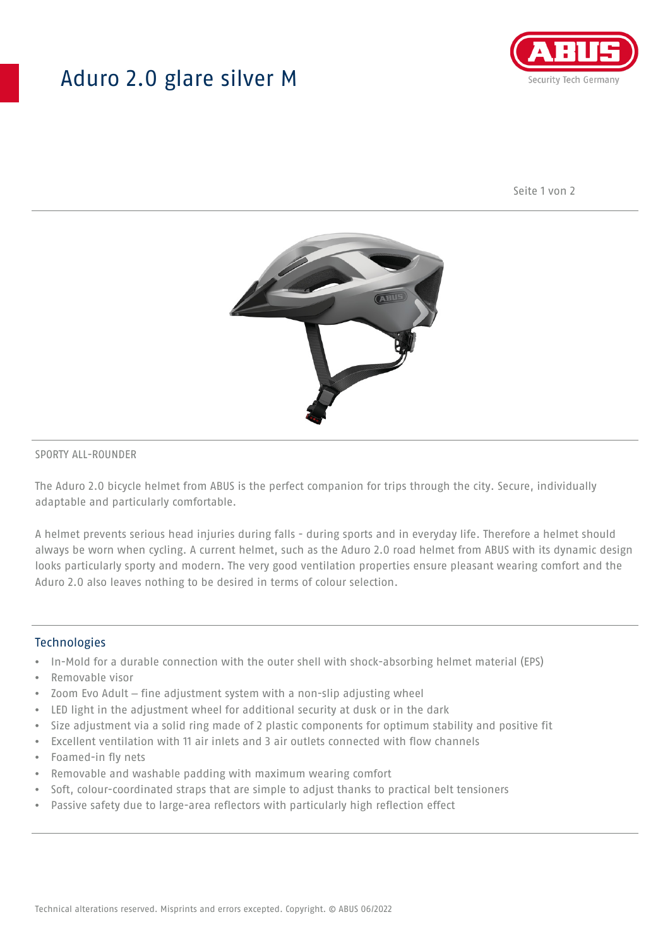## Aduro 2.0 glare silver M



Seite 1 von 2



#### SPORTY ALL-ROUNDER

The Aduro 2.0 bicycle helmet from ABUS is the perfect companion for trips through the city. Secure, individually adaptable and particularly comfortable.

A helmet prevents serious head injuries during falls - during sports and in everyday life. Therefore a helmet should always be worn when cycling. A current helmet, such as the Aduro 2.0 road helmet from ABUS with its dynamic design looks particularly sporty and modern. The very good ventilation properties ensure pleasant wearing comfort and the Aduro 2.0 also leaves nothing to be desired in terms of colour selection.

#### **Technologies**

- In-Mold for a durable connection with the outer shell with shock-absorbing helmet material (EPS)
- Removable visor
- Zoom Evo Adult fine adjustment system with a non-slip adjusting wheel
- LED light in the adjustment wheel for additional security at dusk or in the dark
- Size adjustment via a solid ring made of 2 plastic components for optimum stability and positive fit
- Excellent ventilation with 11 air inlets and 3 air outlets connected with flow channels
- Foamed-in fly nets
- Removable and washable padding with maximum wearing comfort
- Soft, colour-coordinated straps that are simple to adjust thanks to practical belt tensioners
- Passive safety due to large-area reflectors with particularly high reflection effect